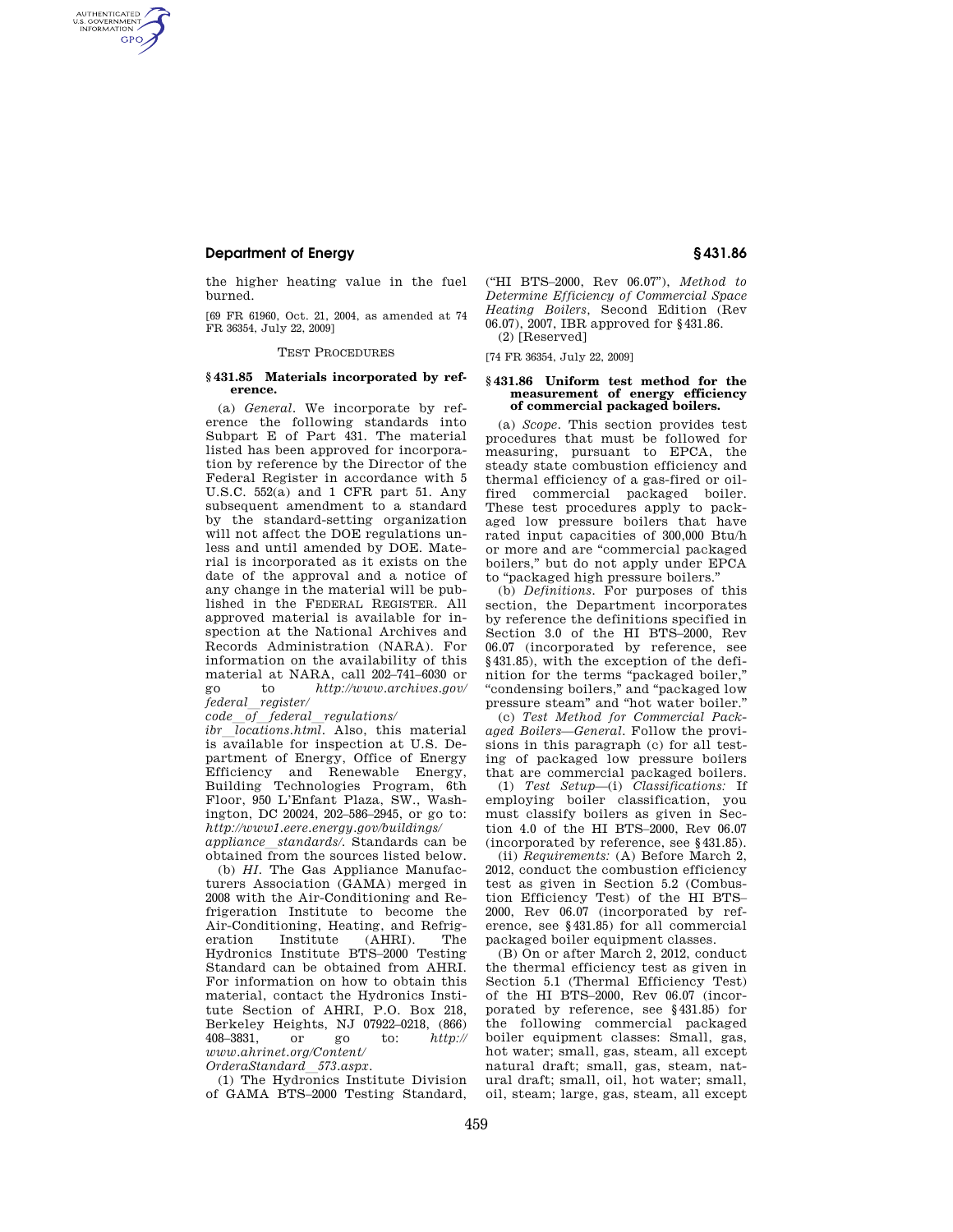## **Department of Energy § 431.86**

AUTHENTICATED<br>U.S. GOVERNMENT<br>INFORMATION **GPO** 

> the higher heating value in the fuel burned.

> [69 FR 61960, Oct. 21, 2004, as amended at 74 FR 36354, July 22, 2009]

#### TEST PROCEDURES

### **§ 431.85 Materials incorporated by reference.**

(a) *General.* We incorporate by reference the following standards into Subpart E of Part 431. The material listed has been approved for incorporation by reference by the Director of the Federal Register in accordance with 5 U.S.C. 552(a) and 1 CFR part 51. Any subsequent amendment to a standard by the standard-setting organization will not affect the DOE regulations unless and until amended by DOE. Material is incorporated as it exists on the date of the approval and a notice of any change in the material will be published in the FEDERAL REGISTER. All approved material is available for inspection at the National Archives and Records Administration (NARA). For information on the availability of this material at NARA, call 202–741–6030 or go to *http://www.archives.gov/ federal*l*register/* 

*code*l*of*l*federal*l*regulations/* 

*ibr locations.html*. Also, this material is available for inspection at U.S. Department of Energy, Office of Energy Efficiency and Renewable Energy, Building Technologies Program, 6th Floor, 950 L'Enfant Plaza, SW., Washington, DC 20024, 202–586–2945, or go to: *http://www1.eere.energy.gov/buildings/ appliance*l*standards/.* Standards can be

obtained from the sources listed below.

(b) *HI.* The Gas Appliance Manufacturers Association (GAMA) merged in 2008 with the Air-Conditioning and Refrigeration Institute to become the Air-Conditioning, Heating, and Refrigeration Institute (AHRI). The eration Institute Hydronics Institute BTS–2000 Testing Standard can be obtained from AHRI. For information on how to obtain this material, contact the Hydronics Institute Section of AHRI, P.O. Box 218, Berkeley Heights, NJ 07922-0218, (866)<br>408-3831, or go to: http:// 408–3831, or go to: *http:// www.ahrinet.org/Content/* 

*OrderaStandard*l*573.aspx.* 

(1) The Hydronics Institute Division of GAMA BTS–2000 Testing Standard, (''HI BTS–2000, Rev 06.07''), *Method to Determine Efficiency of Commercial Space Heating Boilers,* Second Edition (Rev 06.07), 2007, IBR approved for §431.86. (2) [Reserved]

[74 FR 36354, July 22, 2009]

# **§ 431.86 Uniform test method for the measurement of energy efficiency of commercial packaged boilers.**

(a) *Scope.* This section provides test procedures that must be followed for measuring, pursuant to EPCA, the steady state combustion efficiency and thermal efficiency of a gas-fired or oilfired commercial packaged boiler. These test procedures apply to packaged low pressure boilers that have rated input capacities of 300,000 Btu/h or more and are ''commercial packaged boilers,'' but do not apply under EPCA to ''packaged high pressure boilers.''

(b) *Definitions.* For purposes of this section, the Department incorporates by reference the definitions specified in Section 3.0 of the HI BTS–2000, Rev 06.07 (incorporated by reference, see §431.85), with the exception of the definition for the terms ''packaged boiler,'' ''condensing boilers,'' and ''packaged low pressure steam'' and ''hot water boiler.''

(c) *Test Method for Commercial Packaged Boilers—General.* Follow the provisions in this paragraph (c) for all testing of packaged low pressure boilers that are commercial packaged boilers.

(1) *Test Setup*—(i) *Classifications:* If employing boiler classification, you must classify boilers as given in Section 4.0 of the HI BTS–2000, Rev 06.07 (incorporated by reference, see §431.85).

(ii) *Requirements:* (A) Before March 2, 2012, conduct the combustion efficiency test as given in Section 5.2 (Combustion Efficiency Test) of the HI BTS– 2000, Rev 06.07 (incorporated by reference, see §431.85) for all commercial packaged boiler equipment classes.

(B) On or after March 2, 2012, conduct the thermal efficiency test as given in Section 5.1 (Thermal Efficiency Test) of the HI BTS–2000, Rev 06.07 (incorporated by reference, see §431.85) for the following commercial packaged boiler equipment classes: Small, gas, hot water; small, gas, steam, all except natural draft; small, gas, steam, natural draft; small, oil, hot water; small, oil, steam; large, gas, steam, all except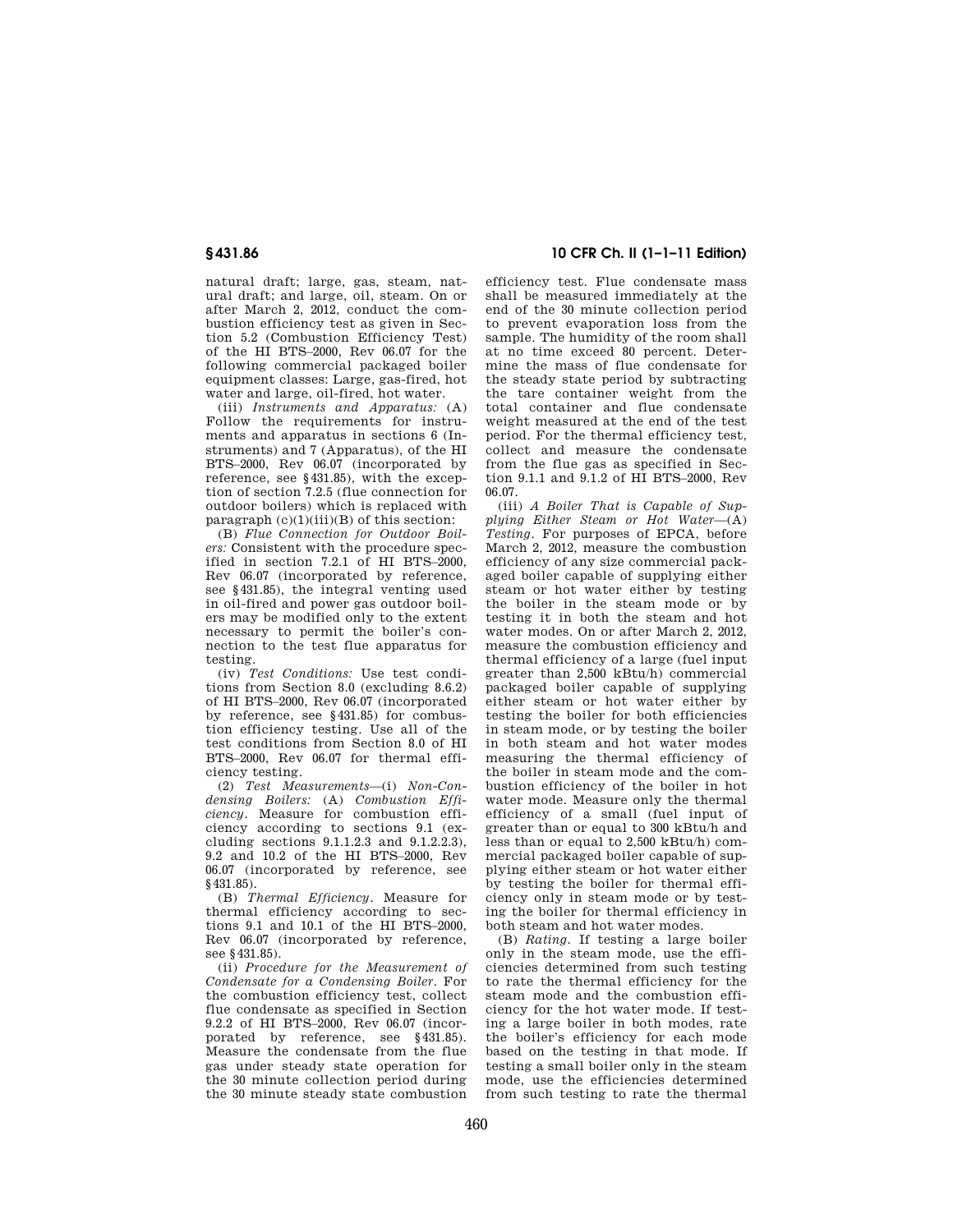natural draft; large, gas, steam, natural draft; and large, oil, steam. On or after March 2, 2012, conduct the combustion efficiency test as given in Section 5.2 (Combustion Efficiency Test) of the HI BTS–2000, Rev 06.07 for the following commercial packaged boiler equipment classes: Large, gas-fired, hot water and large, oil-fired, hot water.

(iii) *Instruments and Apparatus:* (A) Follow the requirements for instruments and apparatus in sections 6 (Instruments) and 7 (Apparatus), of the HI BTS–2000, Rev 06.07 (incorporated by reference, see §431.85), with the exception of section 7.2.5 (flue connection for outdoor boilers) which is replaced with paragraph  $(c)(1)(iii)(B)$  of this section:

(B) *Flue Connection for Outdoor Boilers:* Consistent with the procedure specified in section 7.2.1 of HI BTS–2000, Rev 06.07 (incorporated by reference, see §431.85), the integral venting used in oil-fired and power gas outdoor boilers may be modified only to the extent necessary to permit the boiler's connection to the test flue apparatus for testing.

(iv) *Test Conditions:* Use test conditions from Section 8.0 (excluding 8.6.2) of HI BTS–2000, Rev 06.07 (incorporated by reference, see §431.85) for combustion efficiency testing. Use all of the test conditions from Section 8.0 of HI BTS–2000, Rev 06.07 for thermal efficiency testing.

(2) *Test Measurements*—(i) *Non-Condensing Boilers:* (A) *Combustion Efficiency.* Measure for combustion efficiency according to sections 9.1 (excluding sections 9.1.1.2.3 and 9.1.2.2.3), 9.2 and 10.2 of the HI BTS–2000, Rev 06.07 (incorporated by reference, see §431.85).

(B) *Thermal Efficiency.* Measure for thermal efficiency according to sections 9.1 and 10.1 of the HI BTS–2000, Rev 06.07 (incorporated by reference, see §431.85).

(ii) *Procedure for the Measurement of Condensate for a Condensing Boiler.* For the combustion efficiency test, collect flue condensate as specified in Section 9.2.2 of HI BTS–2000, Rev 06.07 (incorporated by reference, see §431.85). Measure the condensate from the flue gas under steady state operation for the 30 minute collection period during the 30 minute steady state combustion

## **§ 431.86 10 CFR Ch. II (1–1–11 Edition)**

efficiency test. Flue condensate mass shall be measured immediately at the end of the 30 minute collection period to prevent evaporation loss from the sample. The humidity of the room shall at no time exceed 80 percent. Determine the mass of flue condensate for the steady state period by subtracting the tare container weight from the total container and flue condensate weight measured at the end of the test period. For the thermal efficiency test, collect and measure the condensate from the flue gas as specified in Section 9.1.1 and 9.1.2 of HI BTS–2000, Rev 06.07.

(iii) *A Boiler That is Capable of Supplying Either Steam or Hot Water*—(A) *Testing.* For purposes of EPCA, before March 2, 2012, measure the combustion efficiency of any size commercial packaged boiler capable of supplying either steam or hot water either by testing the boiler in the steam mode or by testing it in both the steam and hot water modes. On or after March 2, 2012, measure the combustion efficiency and thermal efficiency of a large (fuel input greater than 2,500 kBtu/h) commercial packaged boiler capable of supplying either steam or hot water either by testing the boiler for both efficiencies in steam mode, or by testing the boiler in both steam and hot water modes measuring the thermal efficiency of the boiler in steam mode and the combustion efficiency of the boiler in hot water mode. Measure only the thermal efficiency of a small (fuel input of greater than or equal to 300 kBtu/h and less than or equal to 2,500 kBtu/h) commercial packaged boiler capable of supplying either steam or hot water either by testing the boiler for thermal efficiency only in steam mode or by testing the boiler for thermal efficiency in both steam and hot water modes.

(B) *Rating.* If testing a large boiler only in the steam mode, use the efficiencies determined from such testing to rate the thermal efficiency for the steam mode and the combustion efficiency for the hot water mode. If testing a large boiler in both modes, rate the boiler's efficiency for each mode based on the testing in that mode. If testing a small boiler only in the steam mode, use the efficiencies determined from such testing to rate the thermal